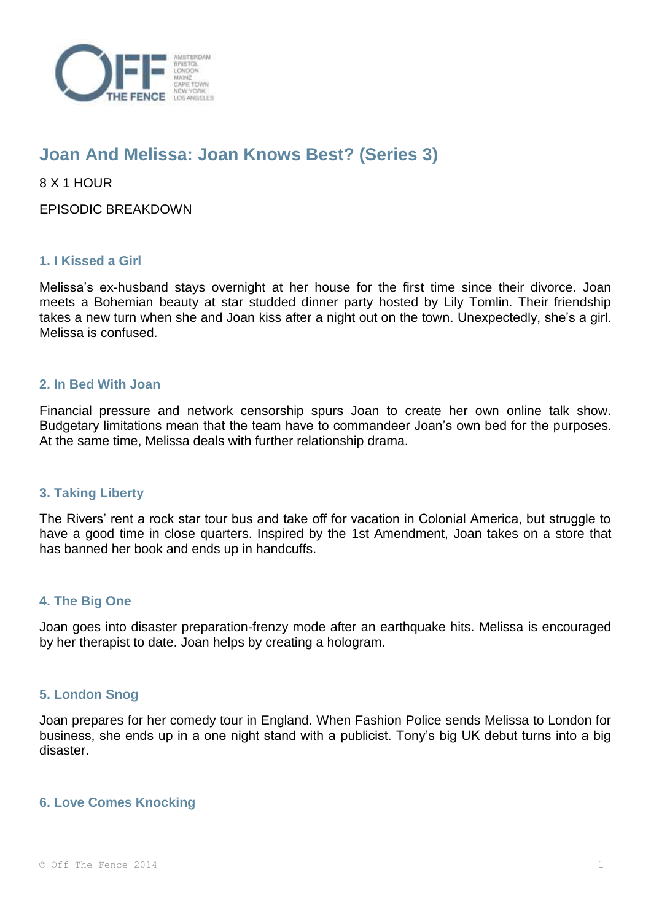

# **Joan And Melissa: Joan Knows Best? (Series 3)**

8 X 1 HOUR

EPISODIC BREAKDOWN

# **1. I Kissed a Girl**

Melissa's ex-husband stays overnight at her house for the first time since their divorce. Joan meets a Bohemian beauty at star studded dinner party hosted by Lily Tomlin. Their friendship takes a new turn when she and Joan kiss after a night out on the town. Unexpectedly, she's a girl. Melissa is confused.

## **2. In Bed With Joan**

Financial pressure and network censorship spurs Joan to create her own online talk show. Budgetary limitations mean that the team have to commandeer Joan's own bed for the purposes. At the same time, Melissa deals with further relationship drama.

#### **3. Taking Liberty**

The Rivers' rent a rock star tour bus and take off for vacation in Colonial America, but struggle to have a good time in close quarters. Inspired by the 1st Amendment, Joan takes on a store that has banned her book and ends up in handcuffs.

#### **4. The Big One**

Joan goes into disaster preparation-frenzy mode after an earthquake hits. Melissa is encouraged by her therapist to date. Joan helps by creating a hologram.

#### **5. London Snog**

Joan prepares for her comedy tour in England. When Fashion Police sends Melissa to London for business, she ends up in a one night stand with a publicist. Tony's big UK debut turns into a big disaster.

# **6. Love Comes Knocking**